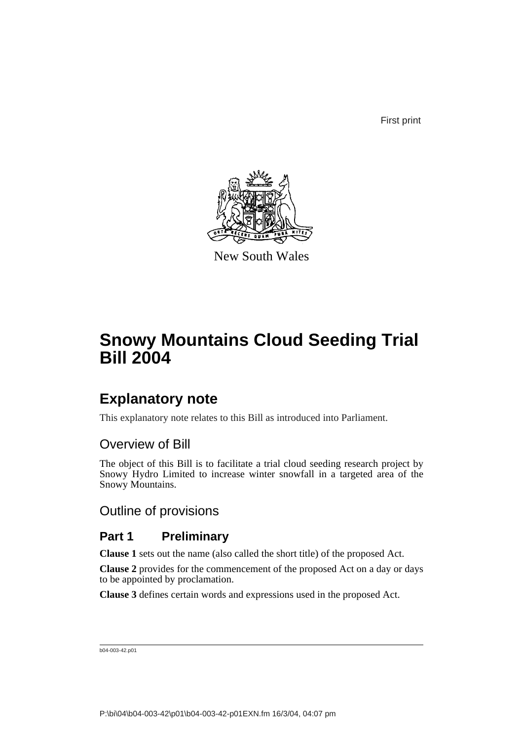First print



New South Wales

# **Snowy Mountains Cloud Seeding Trial Bill 2004**

## **Explanatory note**

This explanatory note relates to this Bill as introduced into Parliament.

## Overview of Bill

The object of this Bill is to facilitate a trial cloud seeding research project by Snowy Hydro Limited to increase winter snowfall in a targeted area of the Snowy Mountains.

Outline of provisions

## **Part 1 Preliminary**

**Clause 1** sets out the name (also called the short title) of the proposed Act.

**Clause 2** provides for the commencement of the proposed Act on a day or days to be appointed by proclamation.

**Clause 3** defines certain words and expressions used in the proposed Act.

b04-003-42.p01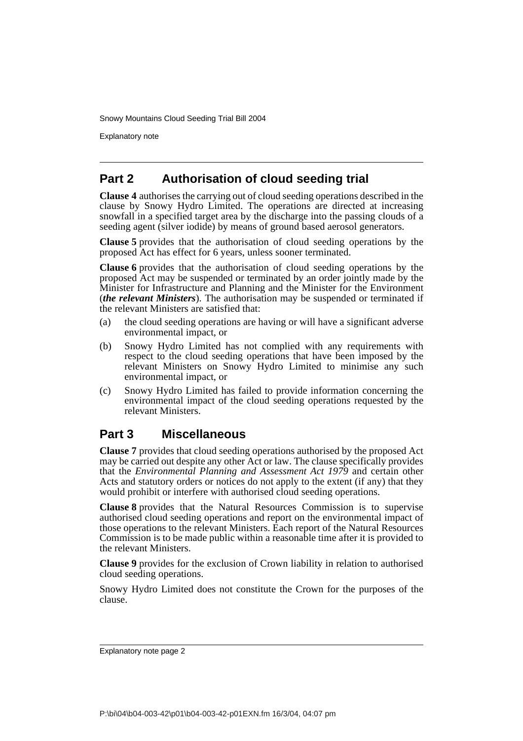Explanatory note

## **Part 2 Authorisation of cloud seeding trial**

**Clause 4** authorises the carrying out of cloud seeding operations described in the clause by Snowy Hydro Limited. The operations are directed at increasing snowfall in a specified target area by the discharge into the passing clouds of a seeding agent (silver iodide) by means of ground based aerosol generators.

**Clause 5** provides that the authorisation of cloud seeding operations by the proposed Act has effect for 6 years, unless sooner terminated.

**Clause 6** provides that the authorisation of cloud seeding operations by the proposed Act may be suspended or terminated by an order jointly made by the Minister for Infrastructure and Planning and the Minister for the Environment (*the relevant Ministers*). The authorisation may be suspended or terminated if the relevant Ministers are satisfied that:

- (a) the cloud seeding operations are having or will have a significant adverse environmental impact, or
- (b) Snowy Hydro Limited has not complied with any requirements with respect to the cloud seeding operations that have been imposed by the relevant Ministers on Snowy Hydro Limited to minimise any such environmental impact, or
- (c) Snowy Hydro Limited has failed to provide information concerning the environmental impact of the cloud seeding operations requested by the relevant Ministers.

### **Part 3 Miscellaneous**

**Clause 7** provides that cloud seeding operations authorised by the proposed Act may be carried out despite any other Act or law. The clause specifically provides that the *Environmental Planning and Assessment Act 1979* and certain other Acts and statutory orders or notices do not apply to the extent (if any) that they would prohibit or interfere with authorised cloud seeding operations.

**Clause 8** provides that the Natural Resources Commission is to supervise authorised cloud seeding operations and report on the environmental impact of those operations to the relevant Ministers. Each report of the Natural Resources Commission is to be made public within a reasonable time after it is provided to the relevant Ministers.

**Clause 9** provides for the exclusion of Crown liability in relation to authorised cloud seeding operations.

Snowy Hydro Limited does not constitute the Crown for the purposes of the clause.

Explanatory note page 2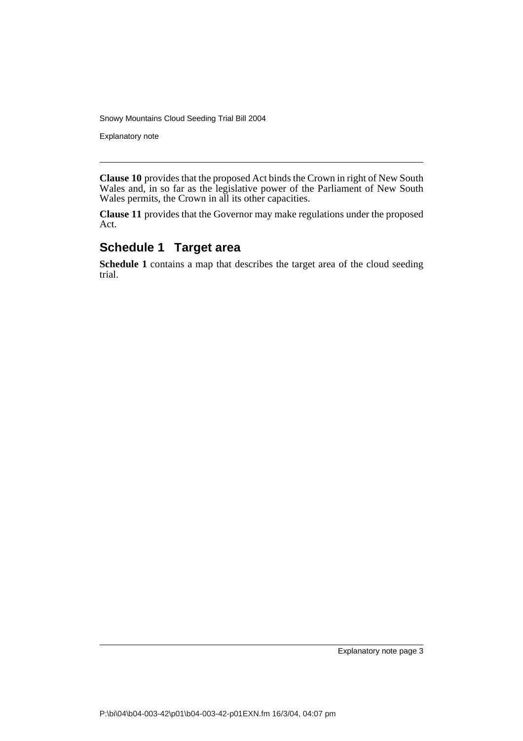Explanatory note

**Clause 10** provides that the proposed Act binds the Crown in right of New South Wales and, in so far as the legislative power of the Parliament of New South Wales permits, the Crown in all its other capacities.

**Clause 11** provides that the Governor may make regulations under the proposed Act.

## **Schedule 1 Target area**

**Schedule 1** contains a map that describes the target area of the cloud seeding trial.

Explanatory note page 3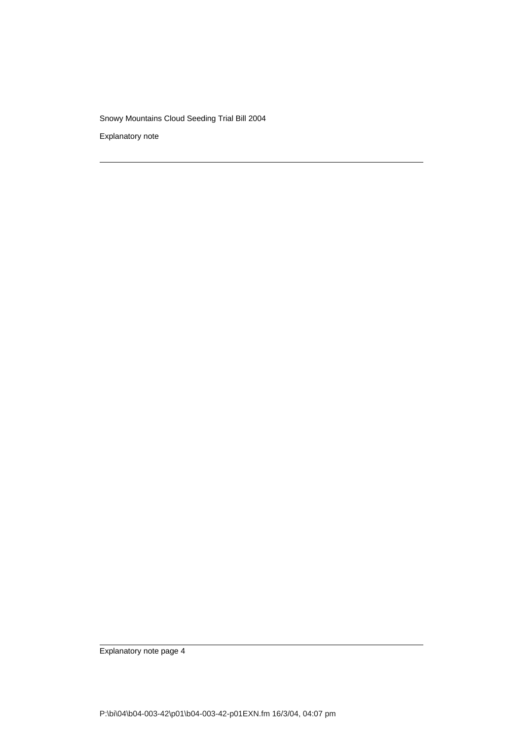Explanatory note

Explanatory note page 4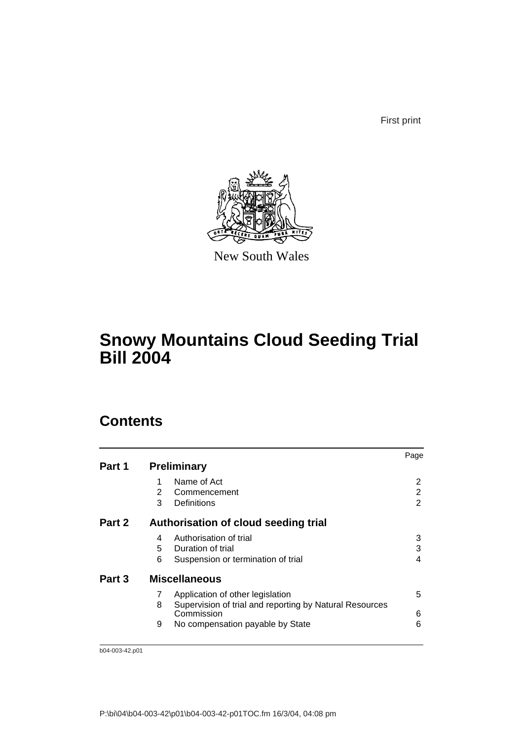First print



New South Wales

# **Snowy Mountains Cloud Seeding Trial Bill 2004**

## **Contents**

|        |                      |                                                                       | Page |
|--------|----------------------|-----------------------------------------------------------------------|------|
| Part 1 | <b>Preliminary</b>   |                                                                       |      |
|        | 1                    | Name of Act                                                           | 2    |
|        | 2                    | Commencement                                                          | 2    |
|        | 3                    | Definitions                                                           | 2    |
| Part 2 |                      | Authorisation of cloud seeding trial                                  |      |
|        | 4                    | Authorisation of trial                                                | 3    |
|        | 5                    | Duration of trial                                                     | 3    |
|        | 6                    | Suspension or termination of trial                                    | 4    |
| Part 3 | <b>Miscellaneous</b> |                                                                       |      |
|        | 7                    | Application of other legislation                                      | 5    |
|        | 8                    | Supervision of trial and reporting by Natural Resources<br>Commission | 6    |
|        | 9                    | No compensation payable by State                                      | 6    |
|        |                      |                                                                       |      |

b04-003-42.p01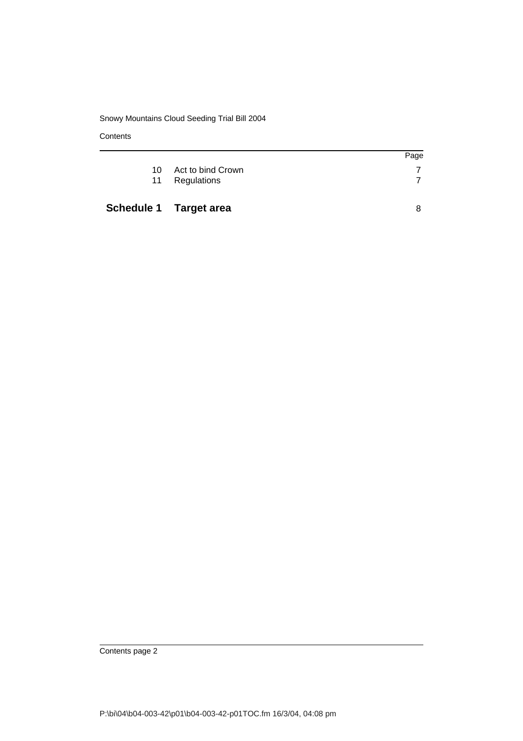**Contents** 

|    |                        | Page |
|----|------------------------|------|
|    | 10 Act to bind Crown   |      |
| 11 | Regulations            |      |
|    |                        |      |
|    | Schedule 1 Target area |      |

Contents page 2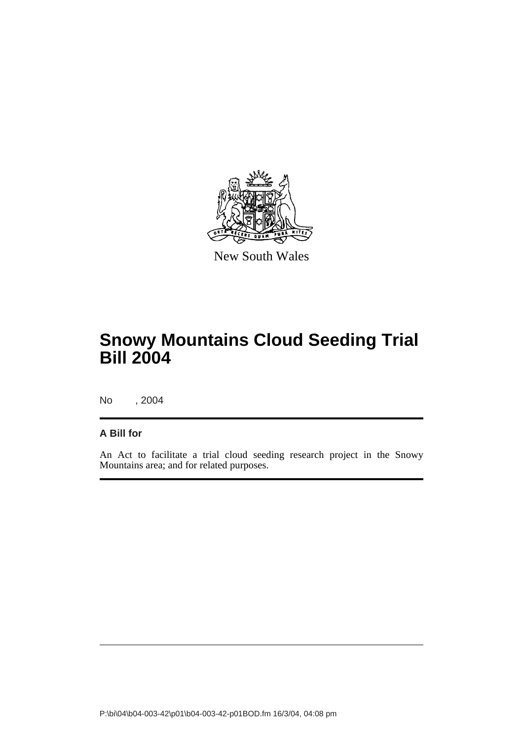

New South Wales

# **Snowy Mountains Cloud Seeding Trial Bill 2004**

No , 2004

### **A Bill for**

An Act to facilitate a trial cloud seeding research project in the Snowy Mountains area; and for related purposes.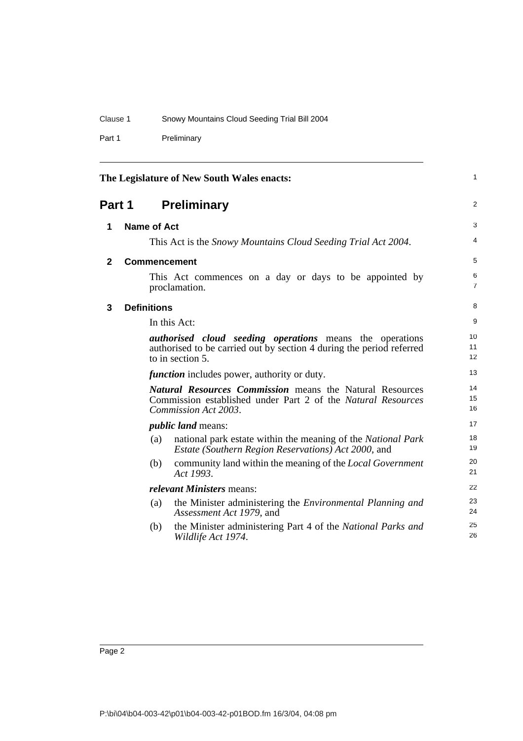Part 1 Preliminary

<span id="page-7-3"></span><span id="page-7-2"></span><span id="page-7-1"></span><span id="page-7-0"></span>

| The Legislature of New South Wales enacts: |                     | 1                                                                                                                                                           |                     |
|--------------------------------------------|---------------------|-------------------------------------------------------------------------------------------------------------------------------------------------------------|---------------------|
| Part 1                                     |                     | <b>Preliminary</b>                                                                                                                                          | $\overline{2}$      |
| 1                                          | <b>Name of Act</b>  |                                                                                                                                                             | 3                   |
|                                            |                     | This Act is the Snowy Mountains Cloud Seeding Trial Act 2004.                                                                                               | 4                   |
| $\mathbf{2}$                               | <b>Commencement</b> |                                                                                                                                                             | 5                   |
|                                            |                     | This Act commences on a day or days to be appointed by<br>proclamation.                                                                                     | 6<br>$\overline{7}$ |
| 3                                          | <b>Definitions</b>  |                                                                                                                                                             | 8                   |
|                                            |                     | In this Act:                                                                                                                                                | 9                   |
|                                            |                     | <i>authorised</i> cloud seeding operations means the operations<br>authorised to be carried out by section 4 during the period referred<br>to in section 5. | 10<br>11<br>12      |
|                                            |                     | <i>function</i> includes power, authority or duty.                                                                                                          | 13                  |
|                                            |                     | <b>Natural Resources Commission</b> means the Natural Resources<br>Commission established under Part 2 of the Natural Resources<br>Commission Act 2003.     | 14<br>15<br>16      |
|                                            |                     | <i>public land</i> means:                                                                                                                                   | 17                  |
|                                            | (a)                 | national park estate within the meaning of the National Park<br><i>Estate (Southern Region Reservations) Act 2000, and</i>                                  | 18<br>19            |
|                                            | (b)                 | community land within the meaning of the <i>Local Government</i><br>Act 1993.                                                                               | 20<br>21            |
|                                            |                     | <i>relevant Ministers</i> means:                                                                                                                            | 22                  |
|                                            | (a)                 | the Minister administering the <i>Environmental Planning and</i><br>Assessment Act 1979, and                                                                | 23<br>24            |
|                                            | (b)                 | the Minister administering Part 4 of the National Parks and<br>Wildlife Act 1974.                                                                           | 25<br>26            |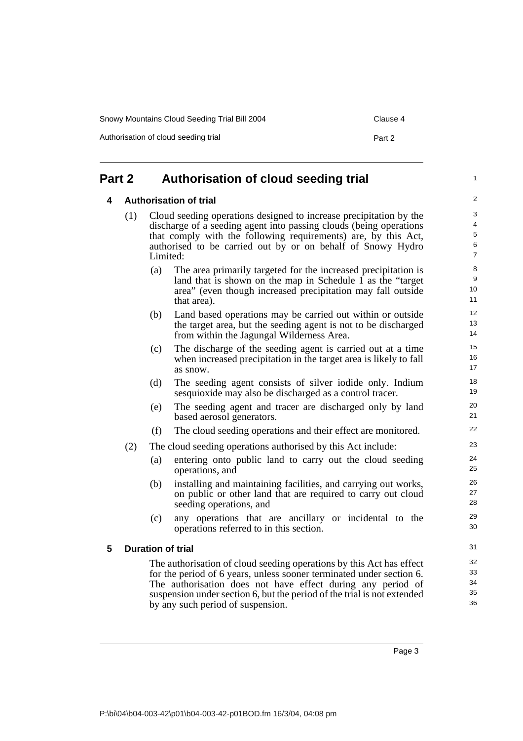Snowy Mountains Cloud Seeding Trial Bill 2004 Clause 4

Authorisation of cloud seeding trial example of the Part 2

1

## <span id="page-8-1"></span><span id="page-8-0"></span>**Part 2 Authorisation of cloud seeding trial**

### **4 Authorisation of trial**

- (1) Cloud seeding operations designed to increase precipitation by the discharge of a seeding agent into passing clouds (being operations that comply with the following requirements) are, by this Act, authorised to be carried out by or on behalf of Snowy Hydro Limited:
	- (a) The area primarily targeted for the increased precipitation is land that is shown on the map in Schedule 1 as the "target area" (even though increased precipitation may fall outside that area).
	- (b) Land based operations may be carried out within or outside the target area, but the seeding agent is not to be discharged from within the Jagungal Wilderness Area.
	- (c) The discharge of the seeding agent is carried out at a time when increased precipitation in the target area is likely to fall as snow.
	- (d) The seeding agent consists of silver iodide only. Indium sesquioxide may also be discharged as a control tracer.
	- (e) The seeding agent and tracer are discharged only by land based aerosol generators.
	- (f) The cloud seeding operations and their effect are monitored.
- (2) The cloud seeding operations authorised by this Act include:
	- (a) entering onto public land to carry out the cloud seeding operations, and
	- (b) installing and maintaining facilities, and carrying out works, on public or other land that are required to carry out cloud seeding operations, and
	- (c) any operations that are ancillary or incidental to the operations referred to in this section.

### <span id="page-8-2"></span>**5 Duration of trial**

The authorisation of cloud seeding operations by this Act has effect for the period of 6 years, unless sooner terminated under section 6. The authorisation does not have effect during any period of suspension under section 6, but the period of the trial is not extended by any such period of suspension.

Page 3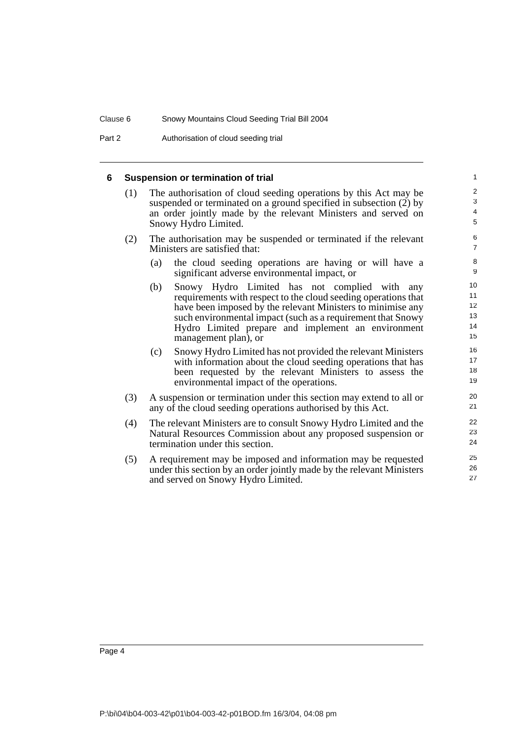Part 2 **Authorisation of cloud seeding trial** 

#### <span id="page-9-0"></span>**6 Suspension or termination of trial**

- (1) The authorisation of cloud seeding operations by this Act may be suspended or terminated on a ground specified in subsection (2) by an order jointly made by the relevant Ministers and served on Snowy Hydro Limited.
- (2) The authorisation may be suspended or terminated if the relevant Ministers are satisfied that:
	- (a) the cloud seeding operations are having or will have a significant adverse environmental impact, or

- (b) Snowy Hydro Limited has not complied with any requirements with respect to the cloud seeding operations that have been imposed by the relevant Ministers to minimise any such environmental impact (such as a requirement that Snowy Hydro Limited prepare and implement an environment management plan), or
- (c) Snowy Hydro Limited has not provided the relevant Ministers with information about the cloud seeding operations that has been requested by the relevant Ministers to assess the environmental impact of the operations.
- (3) A suspension or termination under this section may extend to all or any of the cloud seeding operations authorised by this Act.
- (4) The relevant Ministers are to consult Snowy Hydro Limited and the Natural Resources Commission about any proposed suspension or termination under this section.
- (5) A requirement may be imposed and information may be requested under this section by an order jointly made by the relevant Ministers and served on Snowy Hydro Limited.

Page 4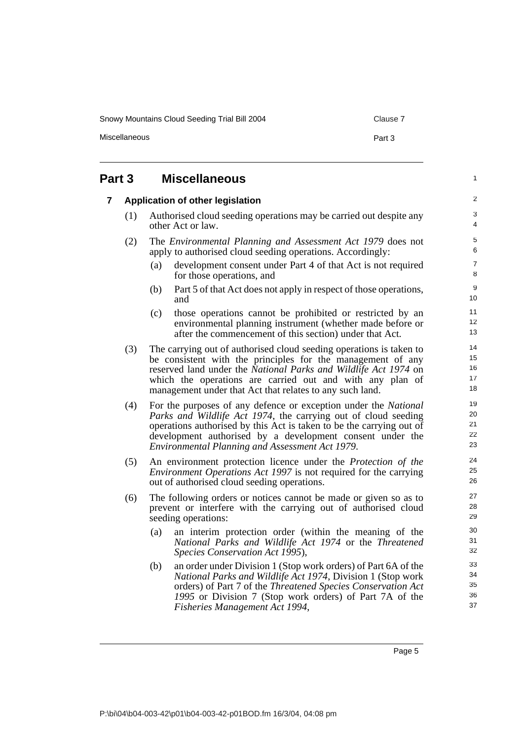Snowy Mountains Cloud Seeding Trial Bill 2004 Clause 7

Miscellaneous **Part 3** 

<span id="page-10-1"></span><span id="page-10-0"></span>

| Part 3 |     | <b>Miscellaneous</b>                                                                                                                                                                                                                                                                                                             |  |
|--------|-----|----------------------------------------------------------------------------------------------------------------------------------------------------------------------------------------------------------------------------------------------------------------------------------------------------------------------------------|--|
| 7      |     | Application of other legislation                                                                                                                                                                                                                                                                                                 |  |
|        | (1) | Authorised cloud seeding operations may be carried out despite any<br>other Act or law.                                                                                                                                                                                                                                          |  |
|        | (2) | The Environmental Planning and Assessment Act 1979 does not<br>apply to authorised cloud seeding operations. Accordingly:                                                                                                                                                                                                        |  |
|        |     | (a)<br>development consent under Part 4 of that Act is not required<br>for those operations, and                                                                                                                                                                                                                                 |  |
|        |     | Part 5 of that Act does not apply in respect of those operations,<br>(b)<br>and                                                                                                                                                                                                                                                  |  |
|        |     | those operations cannot be prohibited or restricted by an<br>(c)<br>environmental planning instrument (whether made before or<br>after the commencement of this section) under that Act.                                                                                                                                         |  |
|        | (3) | The carrying out of authorised cloud seeding operations is taken to<br>be consistent with the principles for the management of any<br>reserved land under the National Parks and Wildlife Act 1974 on<br>which the operations are carried out and with any plan of<br>management under that Act that relates to any such land.   |  |
|        | (4) | For the purposes of any defence or exception under the <i>National</i><br>Parks and Wildlife Act 1974, the carrying out of cloud seeding<br>operations authorised by this Act is taken to be the carrying out of<br>development authorised by a development consent under the<br>Environmental Planning and Assessment Act 1979. |  |
|        | (5) | An environment protection licence under the <i>Protection of the</i><br><i>Environment Operations Act 1997</i> is not required for the carrying<br>out of authorised cloud seeding operations.                                                                                                                                   |  |
|        | (6) | The following orders or notices cannot be made or given so as to<br>prevent or interfere with the carrying out of authorised cloud<br>seeding operations:                                                                                                                                                                        |  |
|        |     | an interim protection order (within the meaning of the<br>(a)<br>National Parks and Wildlife Act 1974 or the Threatened<br>Species Conservation Act 1995),                                                                                                                                                                       |  |
|        |     | an order under Division 1 (Stop work orders) of Part 6A of the<br>(b)<br>National Parks and Wildlife Act 1974, Division 1 (Stop work<br>orders) of Part 7 of the Threatened Species Conservation Act<br>1995 or Division 7 (Stop work orders) of Part 7A of the<br>Fisheries Management Act 1994,                                |  |

Page 5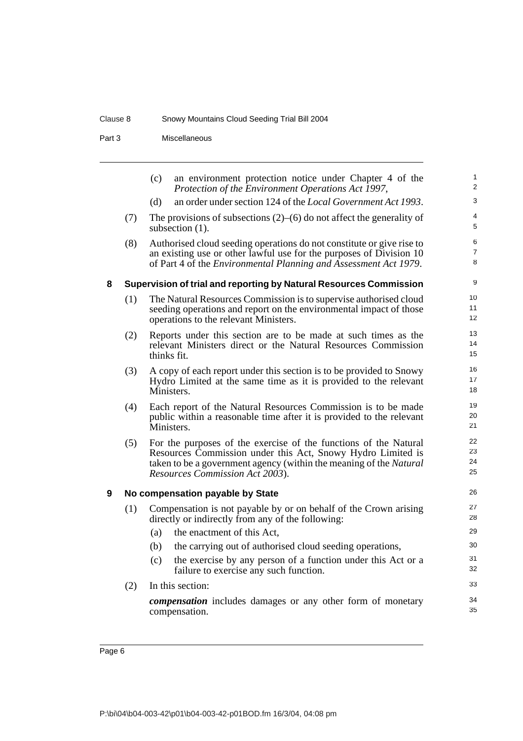### Clause 8 Snowy Mountains Cloud Seeding Trial Bill 2004

Part 3 Miscellaneous

<span id="page-11-1"></span><span id="page-11-0"></span>

|   |     | an environment protection notice under Chapter 4 of the<br>(c)<br>Protection of the Environment Operations Act 1997,                                                                                                                            | $\mathbf{1}$<br>$\overline{2}$ |
|---|-----|-------------------------------------------------------------------------------------------------------------------------------------------------------------------------------------------------------------------------------------------------|--------------------------------|
|   |     | an order under section 124 of the <i>Local Government Act 1993</i> .<br>(d)                                                                                                                                                                     | 3                              |
|   | (7) | The provisions of subsections $(2)$ – $(6)$ do not affect the generality of<br>subsection $(1)$ .                                                                                                                                               | 4<br>5                         |
|   | (8) | Authorised cloud seeding operations do not constitute or give rise to<br>an existing use or other lawful use for the purposes of Division 10<br>of Part 4 of the <i>Environmental Planning and Assessment Act 1979</i> .                        | 6<br>7<br>8                    |
| 8 |     | Supervision of trial and reporting by Natural Resources Commission                                                                                                                                                                              | 9                              |
|   | (1) | The Natural Resources Commission is to supervise authorised cloud<br>seeding operations and report on the environmental impact of those<br>operations to the relevant Ministers.                                                                | 10<br>11<br>12                 |
|   | (2) | Reports under this section are to be made at such times as the<br>relevant Ministers direct or the Natural Resources Commission<br>thinks fit.                                                                                                  | 13<br>14<br>15                 |
|   | (3) | A copy of each report under this section is to be provided to Snowy<br>Hydro Limited at the same time as it is provided to the relevant<br>Ministers.                                                                                           | 16<br>17<br>18                 |
|   | (4) | Each report of the Natural Resources Commission is to be made<br>public within a reasonable time after it is provided to the relevant<br>Ministers.                                                                                             | 19<br>20<br>21                 |
|   | (5) | For the purposes of the exercise of the functions of the Natural<br>Resources Commission under this Act, Snowy Hydro Limited is<br>taken to be a government agency (within the meaning of the <i>Natural</i><br>Resources Commission Act 2003). | 22<br>23<br>24<br>25           |
| 9 |     | No compensation payable by State                                                                                                                                                                                                                | 26                             |
|   | (1) | Compensation is not payable by or on behalf of the Crown arising<br>directly or indirectly from any of the following:                                                                                                                           | 27<br>28                       |
|   |     | (a) the enactment of this Act,                                                                                                                                                                                                                  | 29                             |
|   |     | the carrying out of authorised cloud seeding operations,<br>(b)                                                                                                                                                                                 | 30                             |
|   |     | (c) the exercise by any person of a function under this Act or a<br>failure to exercise any such function.                                                                                                                                      | 31<br>32                       |
|   | (2) | In this section:                                                                                                                                                                                                                                | 33                             |
|   |     | <i>compensation</i> includes damages or any other form of monetary<br>compensation.                                                                                                                                                             | 34<br>35                       |
|   |     |                                                                                                                                                                                                                                                 |                                |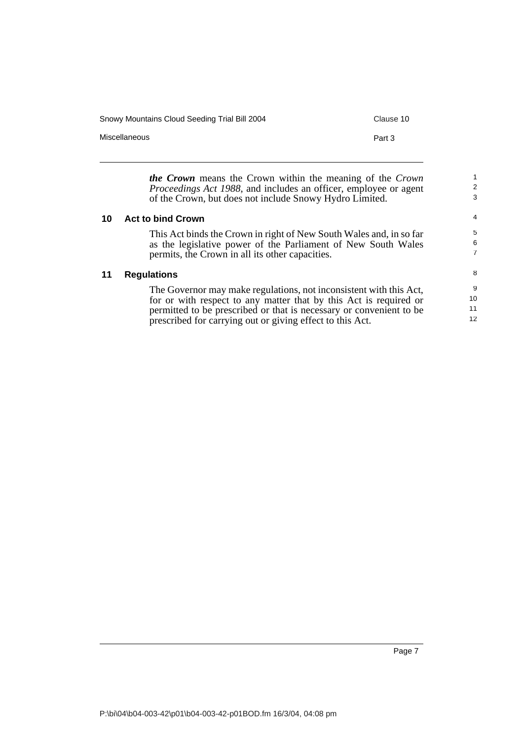| Snowy Mountains Cloud Seeding Trial Bill 2004                                                                                                                                                                  | Clause 10 |  |
|----------------------------------------------------------------------------------------------------------------------------------------------------------------------------------------------------------------|-----------|--|
| Miscellaneous                                                                                                                                                                                                  | Part 3    |  |
| <b><i>the Crown</i></b> means the Crown within the meaning of the Crown<br><i>Proceedings Act 1988</i> , and includes an officer, employee or agent<br>of the Crown, but does not include Snowy Hydro Limited. |           |  |

#### <span id="page-12-0"></span>**10 Act to bind Crown**

This Act binds the Crown in right of New South Wales and, in so far as the legislative power of the Parliament of New South Wales permits, the Crown in all its other capacities.

### <span id="page-12-1"></span>**11 Regulations**

The Governor may make regulations, not inconsistent with this Act, for or with respect to any matter that by this Act is required or permitted to be prescribed or that is necessary or convenient to be prescribed for carrying out or giving effect to this Act.

1 2 3